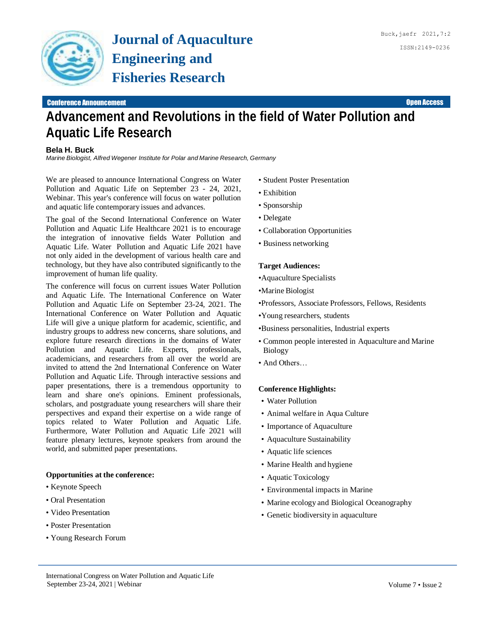

# **Advancement and Revolutions in the field of Water Pollution and Aquatic Life Research**

## **Bela H. Buck**

*Marine Biologist, Alfred Wegener Institute for Polar and Marine Research, Germany*

We are pleased to announce International Congress on Water Pollution and Aquatic Life on September 23 - 24, 2021, Webinar. This year's conference will focus on water pollution and aquatic life contemporary issues and advances.

The goal of the Second International Conference on Water Pollution and Aquatic Life Healthcare 2021 is to encourage the integration of innovative fields Water Pollution and Aquatic Life. Water Pollution and Aquatic Life 2021 have not only aided in the development of various health care and technology, but they have also contributed significantly to the improvement of human life quality.

The conference will focus on current issues Water Pollution and Aquatic Life. The International Conference on Water Pollution and Aquatic Life on September 23-24, 2021. The International Conference on Water Pollution and Aquatic Life will give a unique platform for academic, scientific, and industry groups to address new concerns, share solutions, and explore future research directions in the domains of Water Pollution and Aquatic Life. Experts, professionals, academicians, and researchers from all over the world are invited to attend the 2nd International Conference on Water Pollution and Aquatic Life. Through interactive sessions and paper presentations, there is a tremendous opportunity to learn and share one's opinions. Eminent professionals, scholars, and postgraduate young researchers will share their perspectives and expand their expertise on a wide range of topics related to Water Pollution and Aquatic Life. Furthermore, Water Pollution and Aquatic Life 2021 will feature plenary lectures, keynote speakers from around the world, and submitted paper presentations.

## **Opportunities at the conference:**

- Keynote Speech
- Oral Presentation
- Video Presentation
- Poster Presentation
- Young Research Forum
- Student Poster Presentation
- Exhibition
- Sponsorship
- Delegate
- Collaboration Opportunities
- Business networking

#### **Target Audiences:**

- •Aquaculture Specialists
- •Marine Biologist
- •Professors, Associate Professors, Fellows, Residents
- •Young researchers, students
- •Business personalities, Industrial experts
- Common people interested in Aquaculture and Marine Biology
- And Others…

### **Conference Highlights:**

- Water Pollution
- Animal welfare in Aqua Culture
- Importance of Aquaculture
- Aquaculture Sustainability
- Aquatic life sciences
- Marine Health and hygiene
- Aquatic Toxicology
- Environmental impacts in Marine
- Marine ecology and Biological Oceanography
- Genetic biodiversity in aquaculture